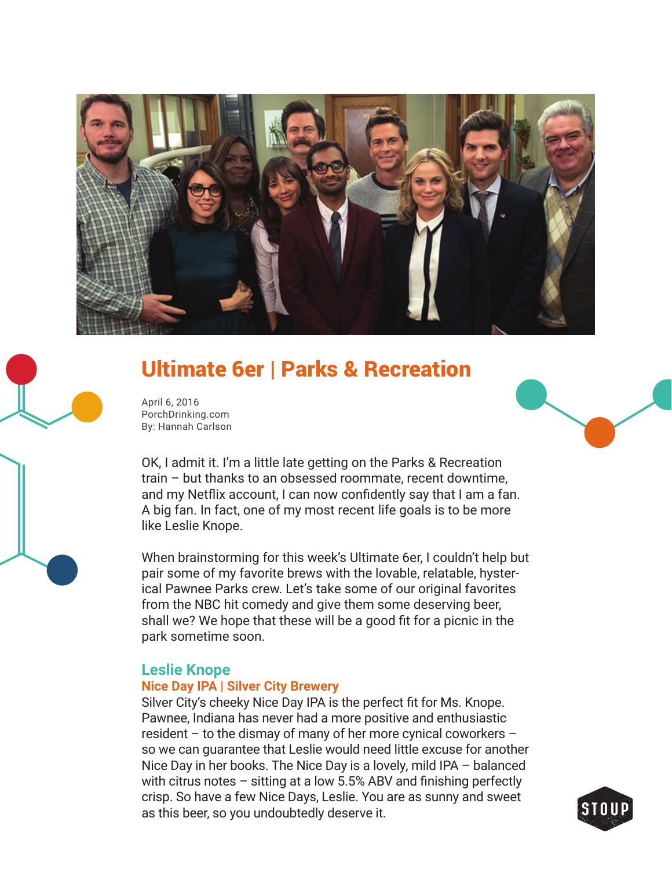

# Ultimate 6er | Parks & Recreation

April 6, 2016 PorchDrinking.com By: Hannah Carlson

OK, I admit it. I'm a little late getting on the Parks & Recreation train – but thanks to an obsessed roommate, recent downtime, and my Netflix account, I can now confidently say that I am a fan. A big fan. In fact, one of my most recent life goals is to be more like Leslie Knope.

When brainstorming for this week's Ultimate 6er, I couldn't help but pair some of my favorite brews with the lovable, relatable, hysterical Pawnee Parks crew. Let's take some of our original favorites from the NBC hit comedy and give them some deserving beer, shall we? We hope that these will be a good fit for a picnic in the park sometime soon.

### **Leslie Knope**

#### **Nice Day IPA | Silver City Brewery**

Silver City's cheeky Nice Day IPA is the perfect fit for Ms. Knope. Pawnee, Indiana has never had a more positive and enthusiastic resident – to the dismay of many of her more cynical coworkers – so we can guarantee that Leslie would need little excuse for another Nice Day in her books. The Nice Day is a lovely, mild IPA – balanced with citrus notes  $-$  sitting at a low 5.5% ABV and finishing perfectly crisp. So have a few Nice Days, Leslie. You are as sunny and sweet as this beer, so you undoubtedly deserve it.

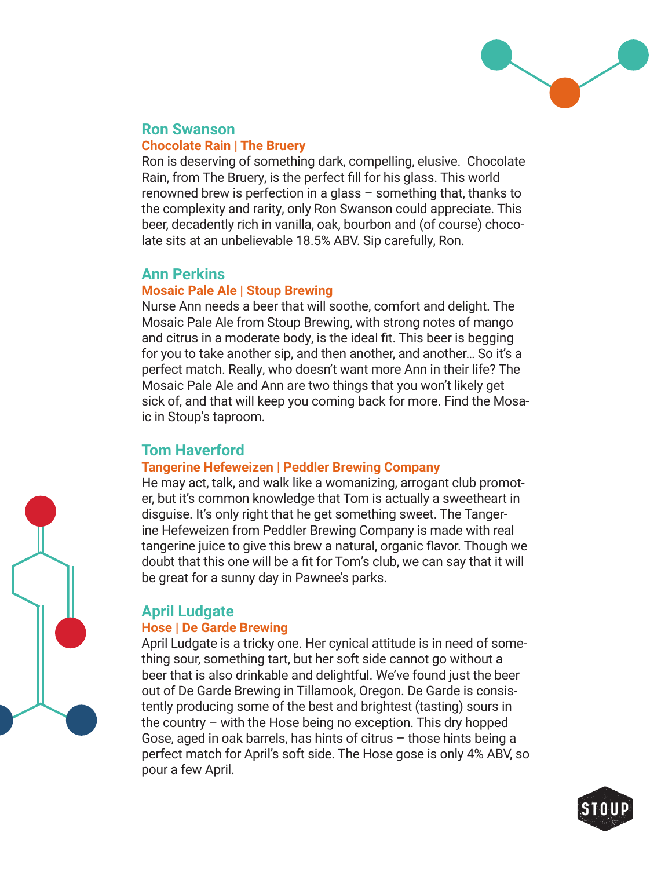

# **Ron Swanson**

#### **Chocolate Rain | The Bruery**

Ron is deserving of something dark, compelling, elusive. Chocolate Rain, from The Bruery, is the perfect fill for his glass. This world renowned brew is perfection in a glass – something that, thanks to the complexity and rarity, only Ron Swanson could appreciate. This beer, decadently rich in vanilla, oak, bourbon and (of course) chocolate sits at an unbelievable 18.5% ABV. Sip carefully, Ron.

# **Ann Perkins**

#### **Mosaic Pale Ale | Stoup Brewing**

Nurse Ann needs a beer that will soothe, comfort and delight. The Mosaic Pale Ale from Stoup Brewing, with strong notes of mango and citrus in a moderate body, is the ideal fit. This beer is begging for you to take another sip, and then another, and another… So it's a perfect match. Really, who doesn't want more Ann in their life? The Mosaic Pale Ale and Ann are two things that you won't likely get sick of, and that will keep you coming back for more. Find the Mosaic in Stoup's taproom.

# **Tom Haverford**

### **Tangerine Hefeweizen | Peddler Brewing Company**

He may act, talk, and walk like a womanizing, arrogant club promoter, but it's common knowledge that Tom is actually a sweetheart in disguise. It's only right that he get something sweet. The Tangerine Hefeweizen from Peddler Brewing Company is made with real tangerine juice to give this brew a natural, organic flavor. Though we doubt that this one will be a fit for Tom's club, we can say that it will be great for a sunny day in Pawnee's parks.

# **April Ludgate**

#### **Hose | De Garde Brewing**

April Ludgate is a tricky one. Her cynical attitude is in need of something sour, something tart, but her soft side cannot go without a beer that is also drinkable and delightful. We've found just the beer out of De Garde Brewing in Tillamook, Oregon. De Garde is consistently producing some of the best and brightest (tasting) sours in the country – with the Hose being no exception. This dry hopped Gose, aged in oak barrels, has hints of citrus – those hints being a perfect match for April's soft side. The Hose gose is only 4% ABV, so pour a few April.